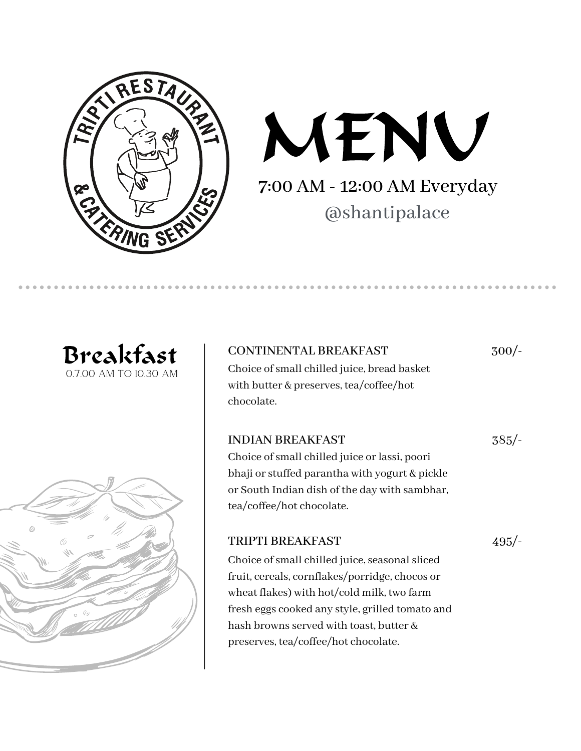



#### Breakfast 0.7.00 AM TO 10.30 AM

#### CONTINENTAL BREAKFAST 300/-

Choice ofsmall chilled juice, bread basket with butter & preserves, tea/coffee/hot chocolate.

385/-

Choice of small chilled juice or lassi, poori bhaji or stuffed parantha with yogurt & pickle or South Indian dish of the day with sambhar, tea/coffee/hot chocolate.

#### TRIPTI BREAKFAST

INDIAN BREAKFAST

495/-

Choice of small chilled juice, seasonal sliced fruit, cereals, cornflakes/porridge, chocos or wheat flakes) with hot/cold milk, two farm fresh eggs cooked any style, grilled tomato and hash browns served with toast, butter & preserves, tea/coffee/hot chocolate.

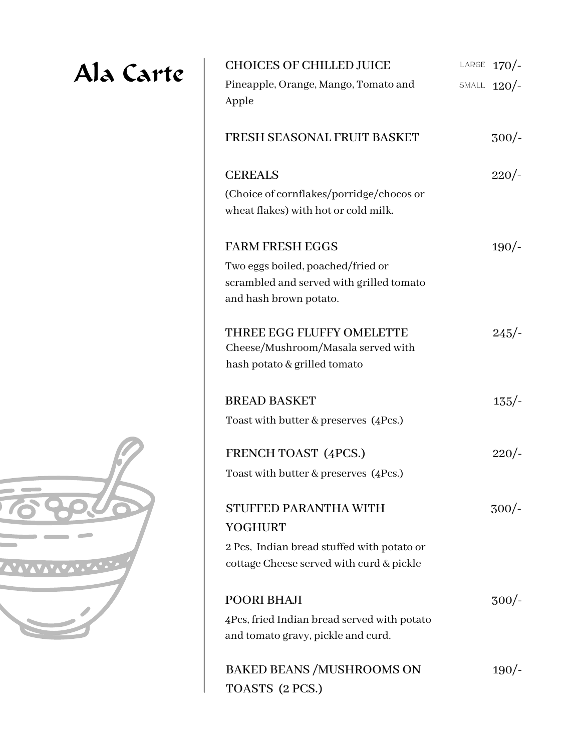## Ala Carte

| <b>CHOICES OF CHILLED JUICE</b>                                                                         | LARGE $170/$ - |
|---------------------------------------------------------------------------------------------------------|----------------|
| Pineapple, Orange, Mango, Tomato and<br>Apple                                                           | SMALL $120/$ - |
| FRESH SEASONAL FRUIT BASKET                                                                             | $300/-$        |
| <b>CEREALS</b>                                                                                          | 220/           |
| (Choice of cornflakes/porridge/chocos or<br>wheat flakes) with hot or cold milk.                        |                |
| <b>FARM FRESH EGGS</b>                                                                                  | 190/-          |
| Two eggs boiled, poached/fried or<br>scrambled and served with grilled tomato<br>and hash brown potato. |                |
| THREE EGG FLUFFY OMELETTE<br>Cheese/Mushroom/Masala served with<br>hash potato & grilled tomato         | $245/-$        |
| <b>BREAD BASKET</b>                                                                                     | $135/-$        |
| Toast with butter & preserves (4Pcs.)                                                                   |                |
| <b>FRENCH TOAST (4PCS.)</b>                                                                             | 220/           |
| Toast with butter & preserves (4Pcs.)                                                                   |                |
| <b>STUFFED PARANTHA WITH</b><br><b>YOGHURT</b>                                                          | $300/-$        |
| 2 Pcs, Indian bread stuffed with potato or                                                              |                |
| cottage Cheese served with curd & pickle                                                                |                |
| <b>POORI BHAJI</b>                                                                                      | $300/-$        |
| 4Pcs, fried Indian bread served with potato<br>and tomato gravy, pickle and curd.                       |                |
| <b>BAKED BEANS /MUSHROOMS ON</b><br>TOASTS (2 PCS.)                                                     | 190/           |

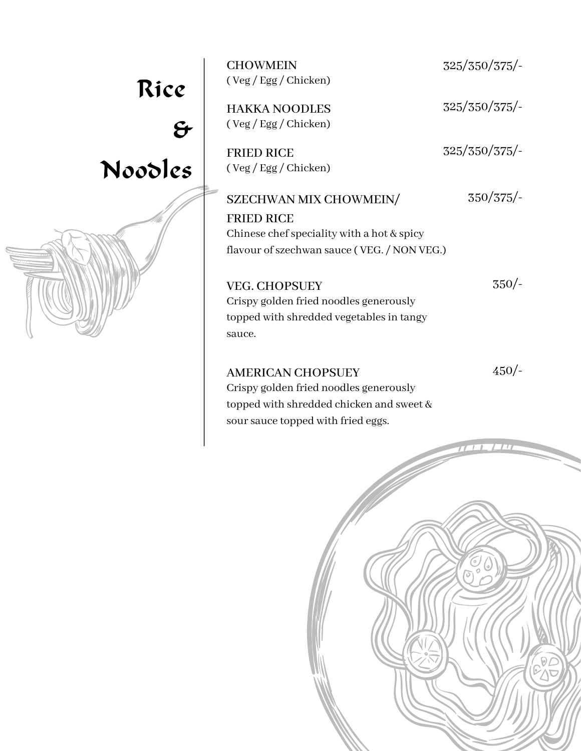## Rice

## $\mathbf{\hat{g}}$ Noodles

CHOWMEIN 325/350/375/-( Veg / Egg / Chicken)

( Veg / Egg / Chicken)

FRIED RICE 325/350/375/-( Veg / Egg / Chicken)

HAKKA NOODLES 325/350/375/-

#### SZECHWAN MIX CHOWMEIN/ FRIED RICE 350/375/- Chinese chef speciality with a hot  $&$  spicy flavour of szechwan sauce ( VEG. / NON VEG.)

VEG. CHOPSUEY Crispy golden fried noodles generously topped with shredded vegetables in tangy sauce.

AMERICAN CHOPSUEY

450/-

350/-

Crispy golden fried noodles generously topped with shredded chicken and sweet & sour sauce topped with fried eggs.

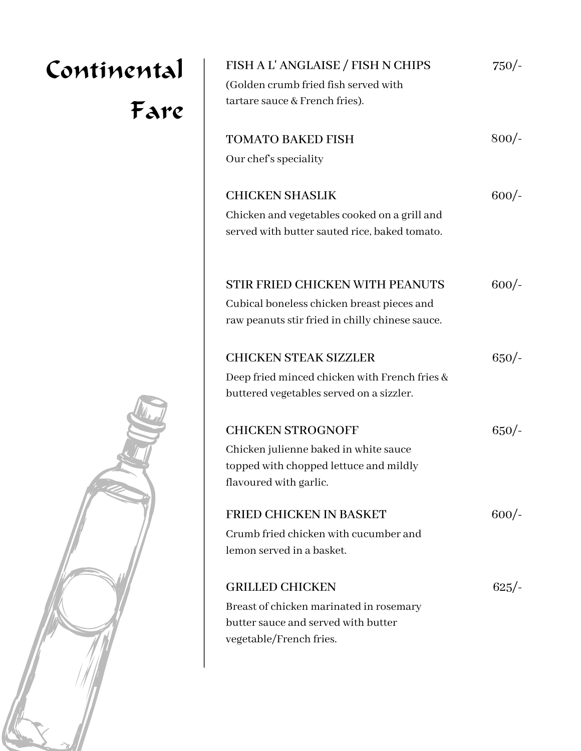# Continental Fare



| FISH A L'ANGLAISE / FISH N CHIPS                                       | $750/-$ |
|------------------------------------------------------------------------|---------|
| (Golden crumb fried fish served with<br>tartare sauce & French fries). |         |
| <b>TOMATO BAKED FISH</b>                                               | $800/-$ |
| Our chef's speciality                                                  |         |
| <b>CHICKEN SHASLIK</b>                                                 | $600/-$ |
| Chicken and vegetables cooked on a grill and                           |         |
| served with butter sauted rice, baked tomato.                          |         |
| STIR FRIED CHICKEN WITH PEANUTS                                        | $600/-$ |
| Cubical boneless chicken breast pieces and                             |         |
| raw peanuts stir fried in chilly chinese sauce.                        |         |
| <b>CHICKEN STEAK SIZZLER</b>                                           | $650/-$ |
| Deep fried minced chicken with French fries &                          |         |
| buttered vegetables served on a sizzler.                               |         |
| <b>CHICKEN STROGNOFF</b>                                               | $650/-$ |
| Chicken julienne baked in white sauce                                  |         |
| topped with chopped lettuce and mildly<br>flavoured with garlic.       |         |
|                                                                        |         |
| <b>FRIED CHICKEN IN BASKET</b>                                         | $600/-$ |
| Crumb fried chicken with cucumber and                                  |         |
| lemon served in a basket.                                              |         |
| <b>GRILLED CHICKEN</b>                                                 | $625/-$ |
| Breast of chicken marinated in rosemary                                |         |
| butter sauce and served with butter                                    |         |
| vegetable/French fries.                                                |         |
|                                                                        |         |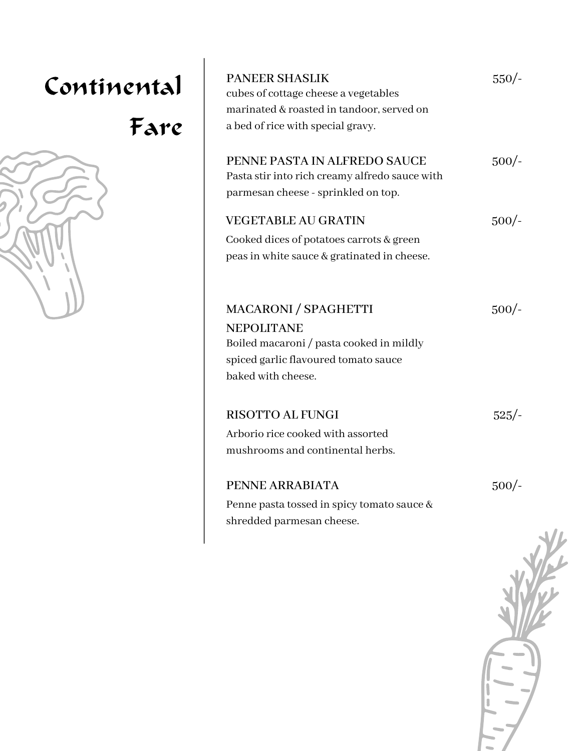# Continental Fare

| <b>PANEER SHASLIK</b><br>cubes of cottage cheese a vegetables<br>marinated & roasted in tandoor, served on<br>a bed of rice with special gravy.            | $550/-$ |
|------------------------------------------------------------------------------------------------------------------------------------------------------------|---------|
| PENNE PASTA IN ALFREDO SAUCE<br>Pasta stir into rich creamy alfredo sauce with<br>parmesan cheese - sprinkled on top.                                      | $500/-$ |
| <b>VEGETABLE AU GRATIN</b><br>Cooked dices of potatoes carrots & green<br>peas in white sauce & gratinated in cheese.                                      | $500/-$ |
| <b>MACARONI / SPAGHETTI</b><br><b>NEPOLITANE</b><br>Boiled macaroni / pasta cooked in mildly<br>spiced garlic flavoured tomato sauce<br>baked with cheese. | $500/-$ |
| <b>RISOTTO AL FUNGI</b><br>Arborio rice cooked with assorted<br>mushrooms and continental herbs.                                                           | $525/-$ |
| PENNE ARRABIATA<br>Penne pasta tossed in spicy tomato sauce &<br>shredded parmesan cheese.                                                                 | $500/-$ |

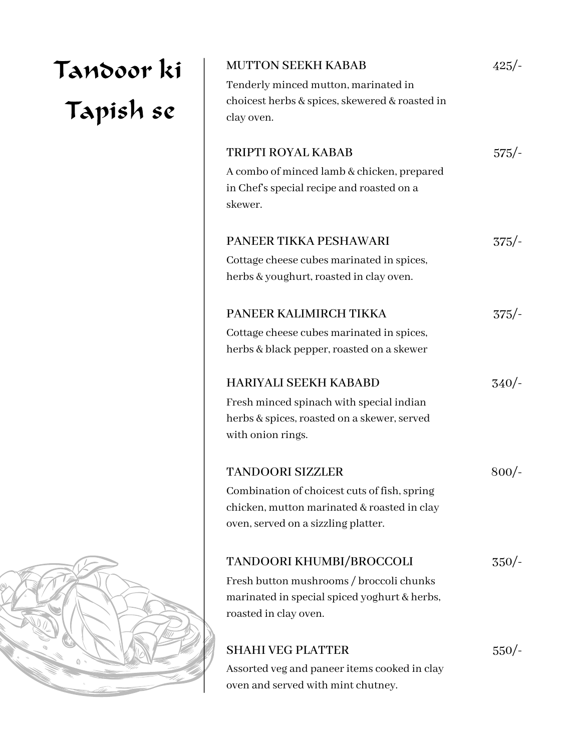| <b>MUTTON SEEKH KABAB</b>                                                          | $425/-$ |
|------------------------------------------------------------------------------------|---------|
| Tenderly minced mutton, marinated in                                               |         |
| choicest herbs & spices, skewered & roasted in                                     |         |
| clay oven.                                                                         |         |
| <b>TRIPTI ROYAL KABAB</b>                                                          | $575/-$ |
| A combo of minced lamb & chicken, prepared                                         |         |
| in Chef's special recipe and roasted on a                                          |         |
| skewer.                                                                            |         |
| PANEER TIKKA PESHAWARI                                                             | $375/-$ |
| Cottage cheese cubes marinated in spices,                                          |         |
| herbs & youghurt, roasted in clay oven.                                            |         |
| PANEER KALIMIRCH TIKKA                                                             | $375/-$ |
| Cottage cheese cubes marinated in spices,                                          |         |
| herbs & black pepper, roasted on a skewer                                          |         |
| <b>HARIYALI SEEKH KABABD</b>                                                       | 340/    |
| Fresh minced spinach with special indian                                           |         |
| herbs & spices, roasted on a skewer, served                                        |         |
| with onion rings.                                                                  |         |
| <b>TANDOORI SIZZLER</b>                                                            | $800/-$ |
| Combination of choicest cuts of fish, spring                                       |         |
| chicken, mutton marinated & roasted in clay                                        |         |
| oven, served on a sizzling platter.                                                |         |
| TANDOORI KHUMBI/BROCCOLI                                                           | $350/-$ |
| Fresh button mushrooms / broccoli chunks                                           |         |
| marinated in special spiced yoghurt & herbs,                                       |         |
| roasted in clay oven.                                                              |         |
|                                                                                    |         |
| <b>SHAHI VEG PLATTER</b>                                                           | $550/-$ |
| Assorted veg and paneer items cooked in clay<br>oven and served with mint chutney. |         |
|                                                                                    |         |



Tandoor ki

Tapish se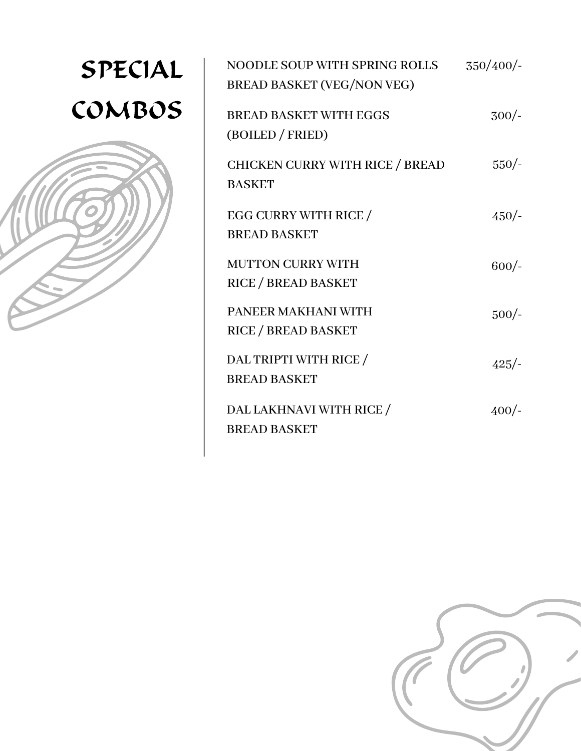## SPECIAL COMBOS



| <b>NOODLE SOUP WITH SPRING ROLLS</b><br><b>BREAD BASKET (VEG/NON VEG)</b> | 350/400/ |
|---------------------------------------------------------------------------|----------|
| <b>BREAD BASKET WITH EGGS</b><br>(BOILED / FRIED)                         | $300/-$  |
| <b>CHICKEN CURRY WITH RICE / BREAD</b><br><b>BASKET</b>                   | $550/-$  |
| EGG CURRY WITH RICE /<br><b>BREAD BASKET</b>                              | $450/-$  |
| <b>MUTTON CURRY WITH</b><br><b>RICE / BREAD BASKET</b>                    | $600/-$  |
| PANEER MAKHANI WITH<br><b>RICE / BREAD BASKET</b>                         | $500/-$  |
| DAL TRIPTI WITH RICE /<br><b>BREAD BASKET</b>                             | $425/-$  |
| DAL LAKHNAVI WITH RICE /<br><b>BREAD BASKET</b>                           | $400/-$  |

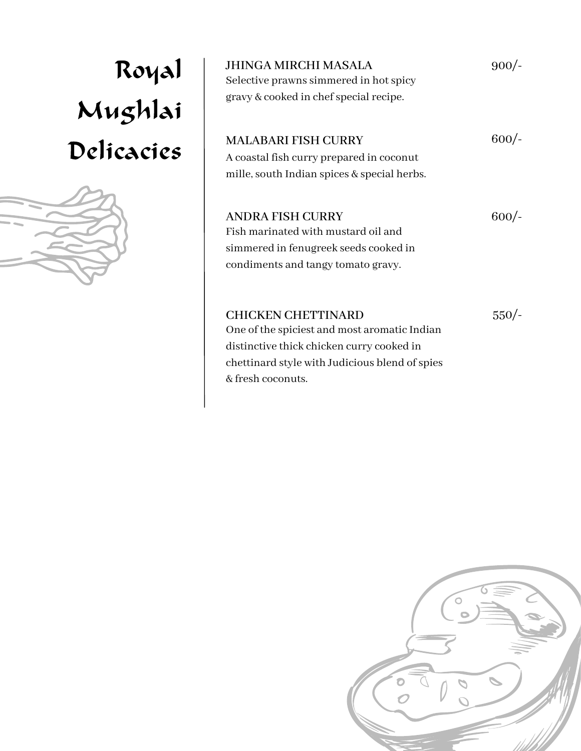# Royal Mughlai Delicacies



| JHINGA MIRCHI MASALA<br>Selective prawns simmered in hot spicy<br>gravy & cooked in chef special recipe.                                      | $900/-$ |
|-----------------------------------------------------------------------------------------------------------------------------------------------|---------|
| <b>MALABARI FISH CURRY</b><br>A coastal fish curry prepared in coconut                                                                        | $600/-$ |
| mille, south Indian spices & special herbs.                                                                                                   |         |
| <b>ANDRA FISH CURRY</b><br>Fish marinated with mustard oil and<br>simmered in fenugreek seeds cooked in<br>condiments and tangy tomato gravy. | $600/-$ |
| <b>CHICKEN CHETTINARD</b><br>One of the spiciest and most aromatic Indian<br>distinctive thick chicken curry cooked in                        | $550/-$ |

chettinard style with Judicious blend of spies

& fresh coconuts.

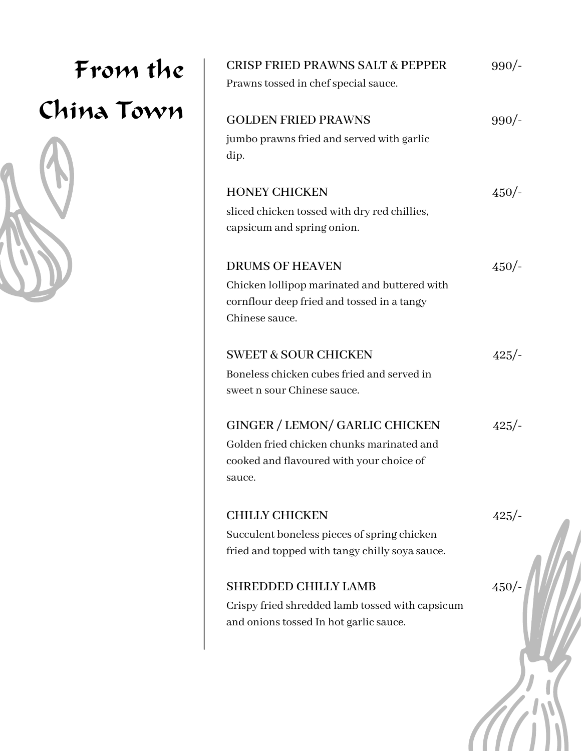## From the China Town



| <b>CRISP FRIED PRAWNS SALT &amp; PEPPER</b>       | $990/-$ |
|---------------------------------------------------|---------|
| Prawns tossed in chef special sauce.              |         |
| <b>GOLDEN FRIED PRAWNS</b>                        | 990/    |
| jumbo prawns fried and served with garlic<br>dip. |         |
| <b>HONEY CHICKEN</b>                              | $450/-$ |
| sliced chicken tossed with dry red chillies,      |         |
| capsicum and spring onion.                        |         |
| <b>DRUMS OF HEAVEN</b>                            | 450/    |
| Chicken lollipop marinated and buttered with      |         |
| cornflour deep fried and tossed in a tangy        |         |
| Chinese sauce.                                    |         |
| <b>SWEET &amp; SOUR CHICKEN</b>                   | $425/-$ |
| Boneless chicken cubes fried and served in        |         |
| sweet n sour Chinese sauce.                       |         |
| GINGER / LEMON/ GARLIC CHICKEN                    | $425/-$ |
| Golden fried chicken chunks marinated and         |         |
| cooked and flavoured with your choice of          |         |
| sauce.                                            |         |
| <b>CHILLY CHICKEN</b>                             | $425/-$ |
| Succulent boneless pieces of spring chicken       |         |
| fried and topped with tangy chilly soya sauce.    |         |
| <b>SHREDDED CHILLY LAMB</b>                       | 450/    |
| Crispy fried shredded lamb tossed with capsicum   |         |
| and onions tossed In hot garlic sauce.            |         |
|                                                   |         |
|                                                   |         |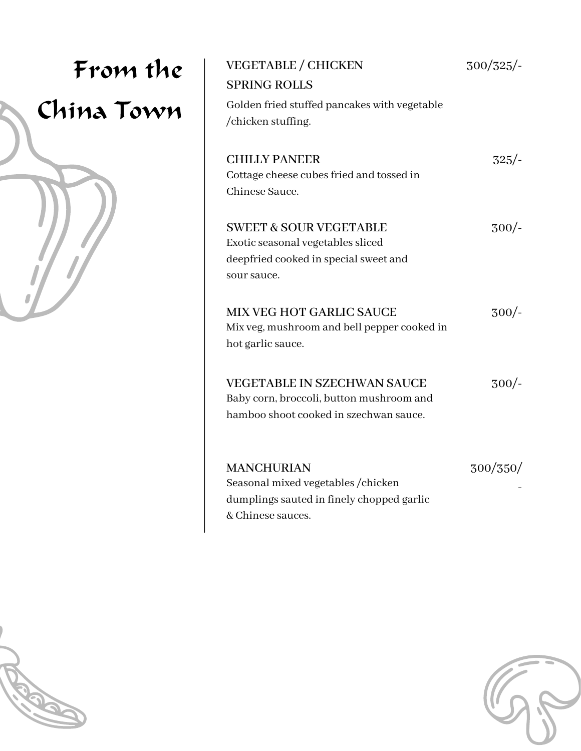| From the<br>China Town | <b>VEGETABLE / CHICKEN</b><br><b>SPRING ROLLS</b>                                                                              | $300/325/-$ |
|------------------------|--------------------------------------------------------------------------------------------------------------------------------|-------------|
|                        | Golden fried stuffed pancakes with vegetable<br>/chicken stuffing.                                                             |             |
|                        | <b>CHILLY PANEER</b><br>Cottage cheese cubes fried and tossed in<br>Chinese Sauce.                                             | $325/-$     |
|                        | <b>SWEET &amp; SOUR VEGETABLE</b><br>Exotic seasonal vegetables sliced<br>deepfried cooked in special sweet and<br>sour sauce. | $300/-$     |
|                        | MIX VEG HOT GARLIC SAUCE<br>Mix veg, mushroom and bell pepper cooked in<br>hot garlic sauce.                                   | $300/-$     |
|                        | <b>VEGETABLE IN SZECHWAN SAUCE</b><br>Baby corn, broccoli, button mushroom and<br>hamboo shoot cooked in szechwan sauce.       | $300/-$     |
|                        | <b>MANCHURIAN</b><br>Seasonal mixed vegetables / chicken<br>dumplings sauted in finely chopped garlic<br>& Chinese sauces.     | 300/350/    |



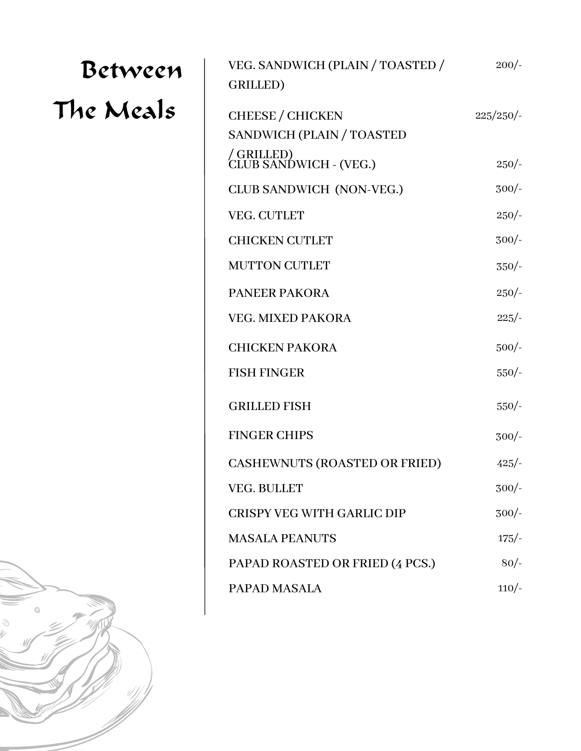| Between   | VEG. SANDWICH (PLAIN / TOASTED /<br>GRILLED)         | $200/-$      |
|-----------|------------------------------------------------------|--------------|
| The Meals | <b>CHEESE / CHICKEN</b><br>SANDWICH (PLAIN / TOASTED | $225/250/$ - |
|           | / GRILLED)<br>CLUB SANDWICH - (VEG.)                 | $250/-$      |
|           | CLUB SANDWICH (NON-VEG.)                             | $300/-$      |
|           | VEG. CUTLET                                          | $250/-$      |
|           | <b>CHICKEN CUTLET</b>                                | $300/-$      |
|           | <b>MUTTON CUTLET</b>                                 | $350/-$      |
|           | <b>PANEER PAKORA</b>                                 | $250/-$      |
|           | <b>VEG. MIXED PAKORA</b>                             | $225/-$      |
|           | <b>CHICKEN PAKORA</b>                                | $500/-$      |
|           | <b>FISH FINGER</b>                                   | $550/-$      |
|           | <b>GRILLED FISH</b>                                  | $550/-$      |
|           | <b>FINGER CHIPS</b>                                  | $300/-$      |
|           | <b>CASHEWNUTS (ROASTED OR FRIED)</b>                 | $425/-$      |
|           | VEG. BULLET                                          | $300/-$      |
|           | CRISPY VEG WITH GARLIC DIP                           | $300/-$      |
|           | <b>MASALA PEANUTS</b>                                | $175/-$      |
|           | PAPAD ROASTED OR FRIED (4 PCS.)                      | $80/-$       |
|           | PAPAD MASALA                                         | $110/-$      |
|           |                                                      |              |